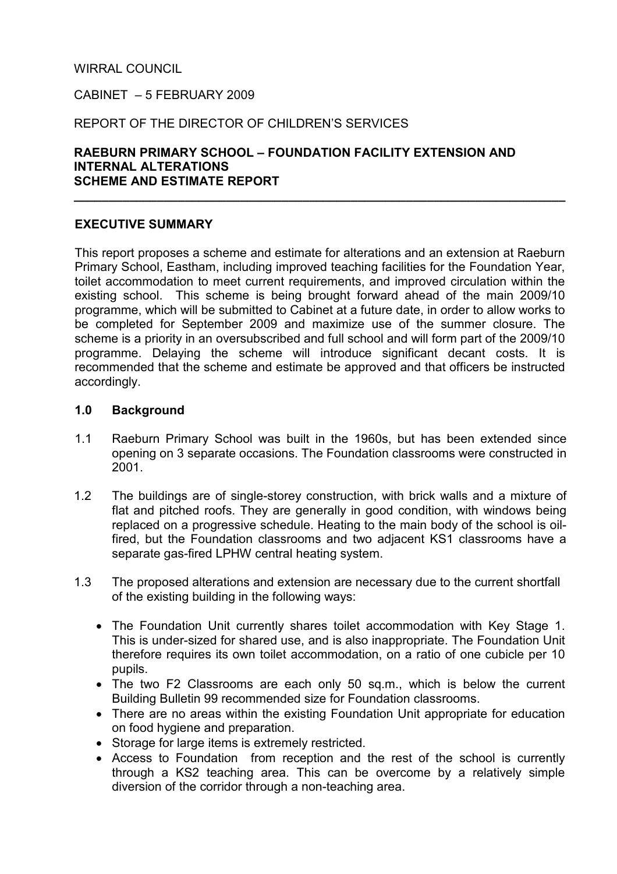# WIRRAL COUNCIL

CABINET – 5 FEBRUARY 2009

# REPORT OF THE DIRECTOR OF CHILDREN'S SERVICES

### RAEBURN PRIMARY SCHOOL – FOUNDATION FACILITY EXTENSION AND INTERNAL ALTERATIONS SCHEME AND ESTIMATE REPORT

### EXECUTIVE SUMMARY

This report proposes a scheme and estimate for alterations and an extension at Raeburn Primary School, Eastham, including improved teaching facilities for the Foundation Year, toilet accommodation to meet current requirements, and improved circulation within the existing school. This scheme is being brought forward ahead of the main 2009/10 programme, which will be submitted to Cabinet at a future date, in order to allow works to be completed for September 2009 and maximize use of the summer closure. The scheme is a priority in an oversubscribed and full school and will form part of the 2009/10 programme. Delaying the scheme will introduce significant decant costs. It is recommended that the scheme and estimate be approved and that officers be instructed accordingly.

\_\_\_\_\_\_\_\_\_\_\_\_\_\_\_\_\_\_\_\_\_\_\_\_\_\_\_\_\_\_\_\_\_\_\_\_\_\_\_\_\_\_\_\_\_\_\_\_\_\_\_\_\_\_\_\_\_\_\_\_\_\_\_\_\_\_\_\_\_\_\_

#### 1.0 Background

- 1.1 Raeburn Primary School was built in the 1960s, but has been extended since opening on 3 separate occasions. The Foundation classrooms were constructed in 2001.
- 1.2 The buildings are of single-storey construction, with brick walls and a mixture of flat and pitched roofs. They are generally in good condition, with windows being replaced on a progressive schedule. Heating to the main body of the school is oilfired, but the Foundation classrooms and two adjacent KS1 classrooms have a separate gas-fired LPHW central heating system.
- 1.3 The proposed alterations and extension are necessary due to the current shortfall of the existing building in the following ways:
	- The Foundation Unit currently shares toilet accommodation with Key Stage 1. This is under-sized for shared use, and is also inappropriate. The Foundation Unit therefore requires its own toilet accommodation, on a ratio of one cubicle per 10 pupils.
	- The two F2 Classrooms are each only 50 sq.m., which is below the current Building Bulletin 99 recommended size for Foundation classrooms.
	- There are no areas within the existing Foundation Unit appropriate for education on food hygiene and preparation.
	- Storage for large items is extremely restricted.
	- Access to Foundation from reception and the rest of the school is currently through a KS2 teaching area. This can be overcome by a relatively simple diversion of the corridor through a non-teaching area.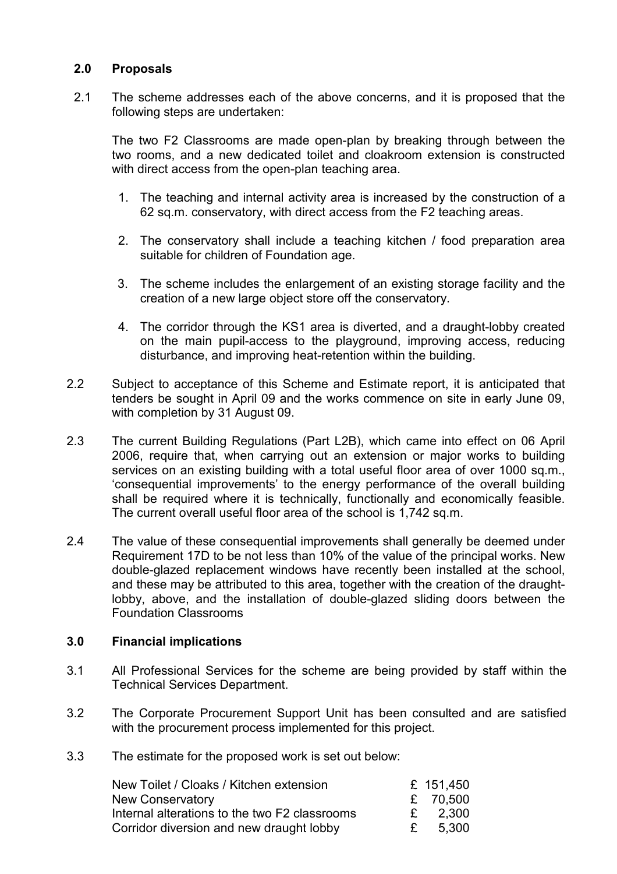### 2.0 Proposals

2.1 The scheme addresses each of the above concerns, and it is proposed that the following steps are undertaken:

 The two F2 Classrooms are made open-plan by breaking through between the two rooms, and a new dedicated toilet and cloakroom extension is constructed with direct access from the open-plan teaching area.

- 1. The teaching and internal activity area is increased by the construction of a 62 sq.m. conservatory, with direct access from the F2 teaching areas.
- 2. The conservatory shall include a teaching kitchen / food preparation area suitable for children of Foundation age.
- 3. The scheme includes the enlargement of an existing storage facility and the creation of a new large object store off the conservatory.
- 4. The corridor through the KS1 area is diverted, and a draught-lobby created on the main pupil-access to the playground, improving access, reducing disturbance, and improving heat-retention within the building.
- 2.2 Subject to acceptance of this Scheme and Estimate report, it is anticipated that tenders be sought in April 09 and the works commence on site in early June 09, with completion by 31 August 09.
- 2.3 The current Building Regulations (Part L2B), which came into effect on 06 April 2006, require that, when carrying out an extension or major works to building services on an existing building with a total useful floor area of over 1000 sq.m., 'consequential improvements' to the energy performance of the overall building shall be required where it is technically, functionally and economically feasible. The current overall useful floor area of the school is 1,742 sq.m.
- 2.4 The value of these consequential improvements shall generally be deemed under Requirement 17D to be not less than 10% of the value of the principal works. New double-glazed replacement windows have recently been installed at the school, and these may be attributed to this area, together with the creation of the draughtlobby, above, and the installation of double-glazed sliding doors between the Foundation Classrooms

### 3.0 Financial implications

- 3.1 All Professional Services for the scheme are being provided by staff within the Technical Services Department.
- 3.2 The Corporate Procurement Support Unit has been consulted and are satisfied with the procurement process implemented for this project.
- 3.3 The estimate for the proposed work is set out below:

| New Toilet / Cloaks / Kitchen extension       |              | £ 151,450 |
|-----------------------------------------------|--------------|-----------|
| New Conservatory                              |              | £ 70,500  |
| Internal alterations to the two F2 classrooms | $\mathbf{F}$ | 2,300     |
| Corridor diversion and new draught lobby      | £            | 5,300     |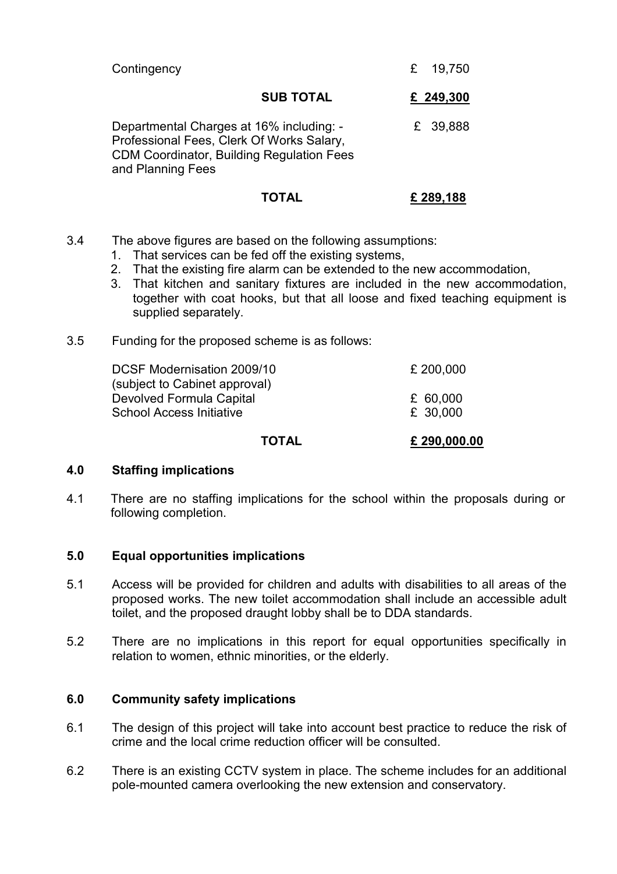| Contingency                                                                                                                                                    |                  | £ | 19,750    |
|----------------------------------------------------------------------------------------------------------------------------------------------------------------|------------------|---|-----------|
|                                                                                                                                                                | <b>SUB TOTAL</b> |   | £ 249,300 |
| Departmental Charges at 16% including: -<br>Professional Fees, Clerk Of Works Salary,<br><b>CDM Coordinator, Building Regulation Fees</b><br>and Planning Fees |                  |   | £ 39,888  |
|                                                                                                                                                                |                  |   | £ 289,188 |

- 3.4 The above figures are based on the following assumptions:
	- 1. That services can be fed off the existing systems,
	- 2. That the existing fire alarm can be extended to the new accommodation,
	- 3. That kitchen and sanitary fixtures are included in the new accommodation, together with coat hooks, but that all loose and fixed teaching equipment is supplied separately.
- 3.5 Funding for the proposed scheme is as follows:

| <b>TOTAL</b>                    | £290,000.00 |
|---------------------------------|-------------|
| <b>School Access Initiative</b> | £ 30,000    |
| Devolved Formula Capital        | £ 60,000    |
| (subject to Cabinet approval)   |             |
| DCSF Modernisation 2009/10      | £ 200,000   |

#### 4.0 Staffing implications

4.1 There are no staffing implications for the school within the proposals during or following completion.

### 5.0 Equal opportunities implications

- 5.1 Access will be provided for children and adults with disabilities to all areas of the proposed works. The new toilet accommodation shall include an accessible adult toilet, and the proposed draught lobby shall be to DDA standards.
- 5.2 There are no implications in this report for equal opportunities specifically in relation to women, ethnic minorities, or the elderly.

### 6.0 Community safety implications

- 6.1 The design of this project will take into account best practice to reduce the risk of crime and the local crime reduction officer will be consulted.
- 6.2 There is an existing CCTV system in place. The scheme includes for an additional pole-mounted camera overlooking the new extension and conservatory.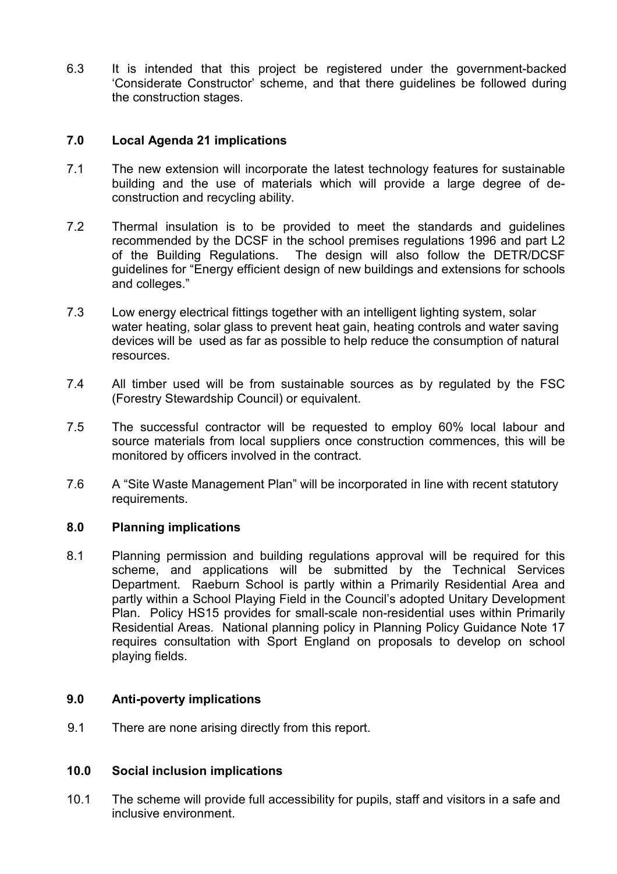6.3 It is intended that this project be registered under the government-backed 'Considerate Constructor' scheme, and that there guidelines be followed during the construction stages.

# 7.0 Local Agenda 21 implications

- 7.1 The new extension will incorporate the latest technology features for sustainable building and the use of materials which will provide a large degree of deconstruction and recycling ability.
- 7.2 Thermal insulation is to be provided to meet the standards and guidelines recommended by the DCSF in the school premises regulations 1996 and part L2 of the Building Regulations. The design will also follow the DETR/DCSF guidelines for "Energy efficient design of new buildings and extensions for schools and colleges."
- 7.3 Low energy electrical fittings together with an intelligent lighting system, solar water heating, solar glass to prevent heat gain, heating controls and water saving devices will be used as far as possible to help reduce the consumption of natural resources.
- 7.4 All timber used will be from sustainable sources as by regulated by the FSC (Forestry Stewardship Council) or equivalent.
- 7.5 The successful contractor will be requested to employ 60% local labour and source materials from local suppliers once construction commences, this will be monitored by officers involved in the contract.
- 7.6 A "Site Waste Management Plan" will be incorporated in line with recent statutory requirements.

### 8.0 Planning implications

8.1 Planning permission and building regulations approval will be required for this scheme, and applications will be submitted by the Technical Services Department. Raeburn School is partly within a Primarily Residential Area and partly within a School Playing Field in the Council's adopted Unitary Development Plan. Policy HS15 provides for small-scale non-residential uses within Primarily Residential Areas. National planning policy in Planning Policy Guidance Note 17 requires consultation with Sport England on proposals to develop on school playing fields.

### 9.0 Anti-poverty implications

9.1 There are none arising directly from this report.

### 10.0 Social inclusion implications

10.1 The scheme will provide full accessibility for pupils, staff and visitors in a safe and inclusive environment.